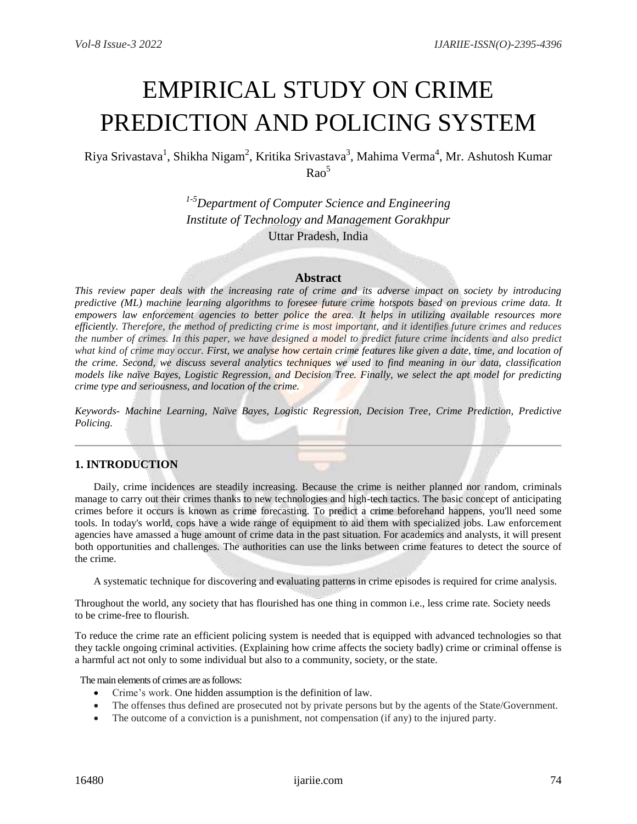# EMPIRICAL STUDY ON CRIME PREDICTION AND POLICING SYSTEM

Riya Srivastava<sup>1</sup>, Shikha Nigam<sup>2</sup>, Kritika Srivastava<sup>3</sup>, Mahima Verma<sup>4</sup>, Mr. Ashutosh Kumar  $Rao<sup>5</sup>$ 

> *1-5Department of Computer Science and Engineering Institute of Technology and Management Gorakhpur* Uttar Pradesh, India

## **Abstract**

*This review paper deals with the increasing rate of crime and its adverse impact on society by introducing predictive (ML) machine learning algorithms to foresee future crime hotspots based on previous crime data. It empowers law enforcement agencies to better police the area. It helps in utilizing available resources more efficiently. Therefore, the method of predicting crime is most important, and it identifies future crimes and reduces the number of crimes. In this paper, we have designed a model to predict future crime incidents and also predict what kind of crime may occur. First, we analyse how certain crime features like given a date, time, and location of the crime. Second, we discuss several analytics techniques we used to find meaning in our data, classification models like naïve Bayes, Logistic Regression, and Decision Tree. Finally, we select the apt model for predicting crime type and seriousness, and location of the crime.*

*Keywords- Machine Learning, Naïve Bayes, Logistic Regression, Decision Tree, Crime Prediction, Predictive Policing.*

## **1. INTRODUCTION**

Daily, crime incidences are steadily increasing. Because the crime is neither planned nor random, criminals manage to carry out their crimes thanks to new technologies and high-tech tactics. The basic concept of anticipating crimes before it occurs is known as crime forecasting. To predict a crime beforehand happens, you'll need some tools. In today's world, cops have a wide range of equipment to aid them with specialized jobs. Law enforcement agencies have amassed a huge amount of crime data in the past situation. For academics and analysts, it will present both opportunities and challenges. The authorities can use the links between crime features to detect the source of the crime.

A systematic technique for discovering and evaluating patterns in crime episodes is required for crime analysis.

Throughout the world, any society that has flourished has one thing in common i.e., less crime rate. Society needs to be crime-free to flourish.

To reduce the crime rate an efficient policing system is needed that is equipped with advanced technologies so that they tackle ongoing criminal activities. (Explaining how crime affects the society badly) crime or criminal offense is a harmful act not only to some individual but also to a community, society, or the state.

The main elements of crimes are as follows:

- Crime's work. One hidden assumption is the definition of law.
- The offenses thus defined are prosecuted not by private persons but by the agents of the State/Government.
- The outcome of a conviction is a punishment, not compensation (if any) to the injured party.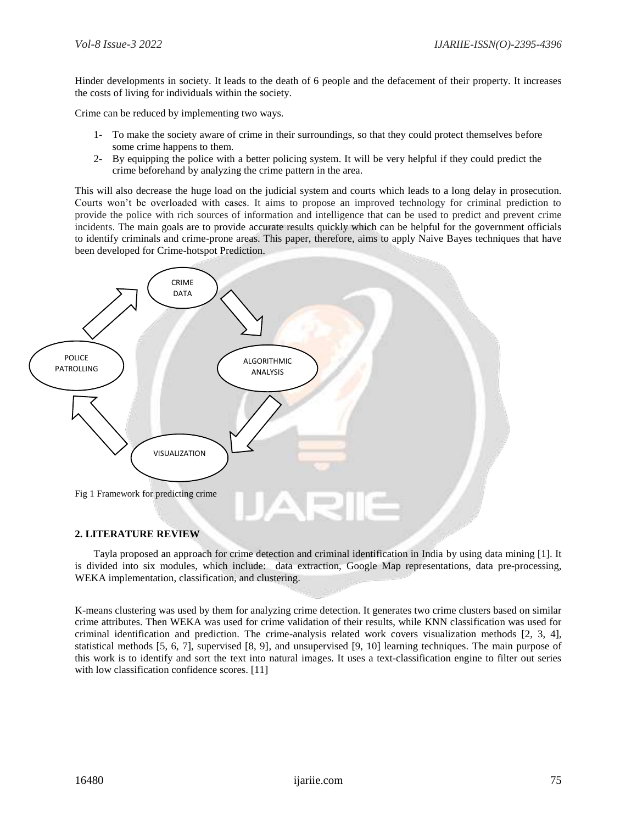Hinder developments in society. It leads to the death of 6 people and the defacement of their property. It increases the costs of living for individuals within the society.

Crime can be reduced by implementing two ways.

- 1- To make the society aware of crime in their surroundings, so that they could protect themselves before some crime happens to them.
- 2- By equipping the police with a better policing system. It will be very helpful if they could predict the crime beforehand by analyzing the crime pattern in the area.

This will also decrease the huge load on the judicial system and courts which leads to a long delay in prosecution. Courts won't be overloaded with cases. It aims to propose an improved technology for criminal prediction to provide the police with rich sources of information and intelligence that can be used to predict and prevent crime incidents. The main goals are to provide accurate results quickly which can be helpful for the government officials to identify criminals and crime-prone areas. This paper, therefore, aims to apply Naive Bayes techniques that have been developed for Crime-hotspot Prediction.



### **2. LITERATURE REVIEW**

Tayla proposed an approach for crime detection and criminal identification in India by using data mining [1]. It is divided into six modules, which include: data extraction, Google Map representations, data pre-processing, WEKA implementation, classification, and clustering.

K-means clustering was used by them for analyzing crime detection. It generates two crime clusters based on similar crime attributes. Then WEKA was used for crime validation of their results, while KNN classification was used for criminal identification and prediction. The crime-analysis related work covers visualization methods [2, 3, 4], statistical methods [5, 6, 7], supervised [8, 9], and unsupervised [9, 10] learning techniques. The main purpose of this work is to identify and sort the text into natural images. It uses a text-classification engine to filter out series with low classification confidence scores. [11]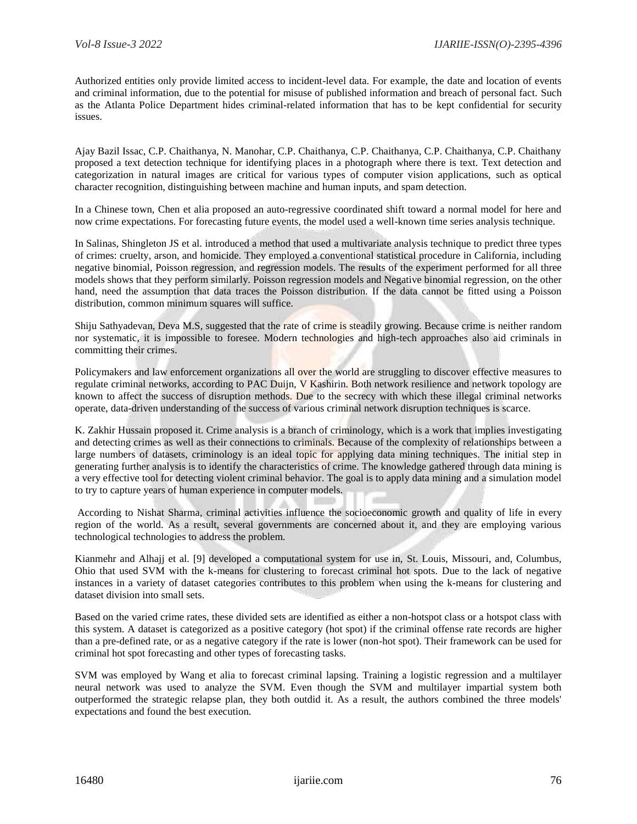Authorized entities only provide limited access to incident-level data. For example, the date and location of events and criminal information, due to the potential for misuse of published information and breach of personal fact. Such as the Atlanta Police Department hides criminal-related information that has to be kept confidential for security issues.

Ajay Bazil Issac, C.P. Chaithanya, N. Manohar, C.P. Chaithanya, C.P. Chaithanya, C.P. Chaithanya, C.P. Chaithany proposed a text detection technique for identifying places in a photograph where there is text. Text detection and categorization in natural images are critical for various types of computer vision applications, such as optical character recognition, distinguishing between machine and human inputs, and spam detection.

In a Chinese town, Chen et alia proposed an auto-regressive coordinated shift toward a normal model for here and now crime expectations. For forecasting future events, the model used a well-known time series analysis technique.

In Salinas, Shingleton JS et al. introduced a method that used a multivariate analysis technique to predict three types of crimes: cruelty, arson, and homicide. They employed a conventional statistical procedure in California, including negative binomial, Poisson regression, and regression models. The results of the experiment performed for all three models shows that they perform similarly. Poisson regression models and Negative binomial regression, on the other hand, need the assumption that data traces the Poisson distribution. If the data cannot be fitted using a Poisson distribution, common minimum squares will suffice.

Shiju Sathyadevan, Deva M.S, suggested that the rate of crime is steadily growing. Because crime is neither random nor systematic, it is impossible to foresee. Modern technologies and high-tech approaches also aid criminals in committing their crimes.

Policymakers and law enforcement organizations all over the world are struggling to discover effective measures to regulate criminal networks, according to PAC Duijn, V Kashirin. Both network resilience and network topology are known to affect the success of disruption methods. Due to the secrecy with which these illegal criminal networks operate, data-driven understanding of the success of various criminal network disruption techniques is scarce.

K. Zakhir Hussain proposed it. Crime analysis is a branch of criminology, which is a work that implies investigating and detecting crimes as well as their connections to criminals. Because of the complexity of relationships between a large numbers of datasets, criminology is an ideal topic for applying data mining techniques. The initial step in generating further analysis is to identify the characteristics of crime. The knowledge gathered through data mining is a very effective tool for detecting violent criminal behavior. The goal is to apply data mining and a simulation model to try to capture years of human experience in computer models.

According to Nishat Sharma, criminal activities influence the socioeconomic growth and quality of life in every region of the world. As a result, several governments are concerned about it, and they are employing various technological technologies to address the problem.

Kianmehr and Alhajj et al. [9] developed a computational system for use in, St. Louis, Missouri, and, Columbus, Ohio that used SVM with the k-means for clustering to forecast criminal hot spots. Due to the lack of negative instances in a variety of dataset categories contributes to this problem when using the k-means for clustering and dataset division into small sets.

Based on the varied crime rates, these divided sets are identified as either a non-hotspot class or a hotspot class with this system. A dataset is categorized as a positive category (hot spot) if the criminal offense rate records are higher than a pre-defined rate, or as a negative category if the rate is lower (non-hot spot). Their framework can be used for criminal hot spot forecasting and other types of forecasting tasks.

SVM was employed by Wang et alia to forecast criminal lapsing. Training a logistic regression and a multilayer neural network was used to analyze the SVM. Even though the SVM and multilayer impartial system both outperformed the strategic relapse plan, they both outdid it. As a result, the authors combined the three models' expectations and found the best execution.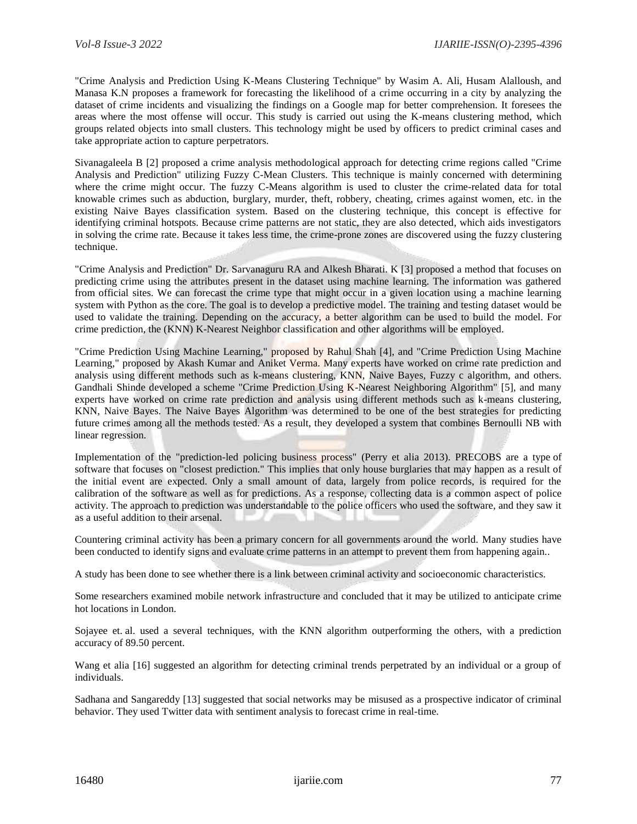"Crime Analysis and Prediction Using K-Means Clustering Technique" by Wasim A. Ali, Husam Alalloush, and Manasa K.N proposes a framework for forecasting the likelihood of a crime occurring in a city by analyzing the dataset of crime incidents and visualizing the findings on a Google map for better comprehension. It foresees the areas where the most offense will occur. This study is carried out using the K-means clustering method, which groups related objects into small clusters. This technology might be used by officers to predict criminal cases and take appropriate action to capture perpetrators.

Sivanagaleela B [2] proposed a crime analysis methodological approach for detecting crime regions called "Crime Analysis and Prediction" utilizing Fuzzy C-Mean Clusters. This technique is mainly concerned with determining where the crime might occur. The fuzzy C-Means algorithm is used to cluster the crime-related data for total knowable crimes such as abduction, burglary, murder, theft, robbery, cheating, crimes against women, etc. in the existing Naive Bayes classification system. Based on the clustering technique, this concept is effective for identifying criminal hotspots. Because crime patterns are not static, they are also detected, which aids investigators in solving the crime rate. Because it takes less time, the crime-prone zones are discovered using the fuzzy clustering technique.

"Crime Analysis and Prediction" Dr. Sarvanaguru RA and Alkesh Bharati. K [3] proposed a method that focuses on predicting crime using the attributes present in the dataset using machine learning. The information was gathered from official sites. We can forecast the crime type that might occur in a given location using a machine learning system with Python as the core. The goal is to develop a predictive model. The training and testing dataset would be used to validate the training. Depending on the accuracy, a better algorithm can be used to build the model. For crime prediction, the (KNN) K-Nearest Neighbor classification and other algorithms will be employed.

"Crime Prediction Using Machine Learning," proposed by Rahul Shah [4], and "Crime Prediction Using Machine Learning," proposed by Akash Kumar and Aniket Verma. Many experts have worked on crime rate prediction and analysis using different methods such as k-means clustering, KNN, Naive Bayes, Fuzzy c algorithm, and others. Gandhali Shinde developed a scheme "Crime Prediction Using K-Nearest Neighboring Algorithm" [5], and many experts have worked on crime rate prediction and analysis using different methods such as k-means clustering, KNN, Naive Bayes. The Naive Bayes Algorithm was determined to be one of the best strategies for predicting future crimes among all the methods tested. As a result, they developed a system that combines Bernoulli NB with linear regression.

Implementation of the "prediction-led policing business process" (Perry et alia 2013). PRECOBS are a type of software that focuses on "closest prediction." This implies that only house burglaries that may happen as a result of the initial event are expected. Only a small amount of data, largely from police records, is required for the calibration of the software as well as for predictions. As a response, collecting data is a common aspect of police activity. The approach to prediction was understandable to the police officers who used the software, and they saw it as a useful addition to their arsenal.

Countering criminal activity has been a primary concern for all governments around the world. Many studies have been conducted to identify signs and evaluate crime patterns in an attempt to prevent them from happening again..

A study has been done to see whether there is a link between criminal activity and socioeconomic characteristics.

Some researchers examined mobile network infrastructure and concluded that it may be utilized to anticipate crime hot locations in London.

Sojayee et. al. used a several techniques, with the KNN algorithm outperforming the others, with a prediction accuracy of 89.50 percent.

Wang et alia [16] suggested an algorithm for detecting criminal trends perpetrated by an individual or a group of individuals.

Sadhana and Sangareddy [13] suggested that social networks may be misused as a prospective indicator of criminal behavior. They used Twitter data with sentiment analysis to forecast crime in real-time.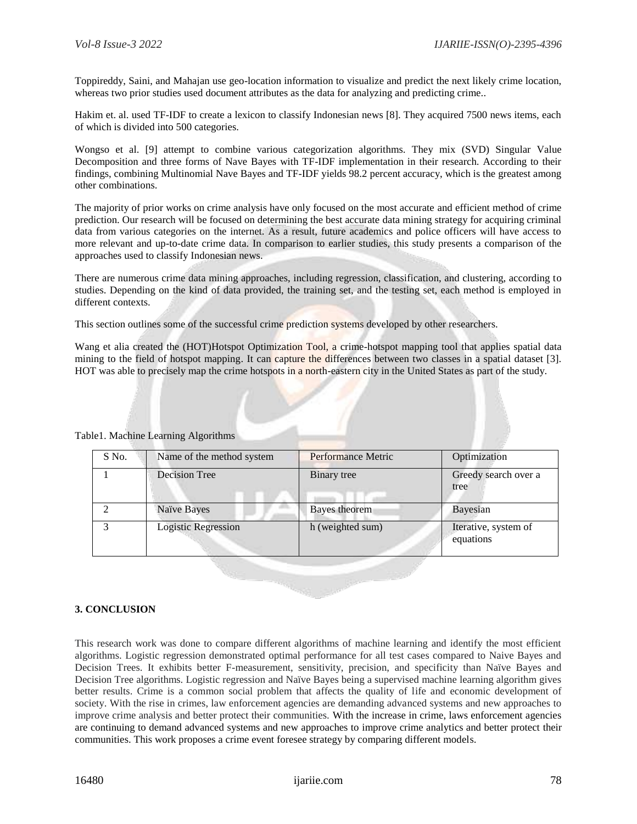Toppireddy, Saini, and Mahajan use geo-location information to visualize and predict the next likely crime location, whereas two prior studies used document attributes as the data for analyzing and predicting crime..

Hakim et. al. used TF-IDF to create a lexicon to classify Indonesian news [8]. They acquired 7500 news items, each of which is divided into 500 categories.

Wongso et al. [9] attempt to combine various categorization algorithms. They mix (SVD) Singular Value Decomposition and three forms of Nave Bayes with TF-IDF implementation in their research. According to their findings, combining Multinomial Nave Bayes and TF-IDF yields 98.2 percent accuracy, which is the greatest among other combinations.

The majority of prior works on crime analysis have only focused on the most accurate and efficient method of crime prediction. Our research will be focused on determining the best accurate data mining strategy for acquiring criminal data from various categories on the internet. As a result, future academics and police officers will have access to more relevant and up-to-date crime data. In comparison to earlier studies, this study presents a comparison of the approaches used to classify Indonesian news.

There are numerous crime data mining approaches, including regression, classification, and clustering, according to studies. Depending on the kind of data provided, the training set, and the testing set, each method is employed in different contexts.

This section outlines some of the successful crime prediction systems developed by other researchers.

Wang et alia created the (HOT)Hotspot Optimization Tool, a crime-hotspot mapping tool that applies spatial data mining to the field of hotspot mapping. It can capture the differences between two classes in a spatial dataset [3]. HOT was able to precisely map the crime hotspots in a north-eastern city in the United States as part of the study.

| S No. | Name of the method system | Performance Metric | Optimization                      |
|-------|---------------------------|--------------------|-----------------------------------|
|       | Decision Tree             | Binary tree        | Greedy search over a<br>tree      |
|       | Naïve Bayes               | Bayes theorem      | <b>Bayesian</b>                   |
| 3     | Logistic Regression       | h (weighted sum)   | Iterative, system of<br>equations |

Table1. Machine Learning Algorithms

### **3. CONCLUSION**

This research work was done to compare different algorithms of machine learning and identify the most efficient algorithms. Logistic regression demonstrated optimal performance for all test cases compared to Naive Bayes and Decision Trees. It exhibits better F-measurement, sensitivity, precision, and specificity than Naïve Bayes and Decision Tree algorithms. Logistic regression and Naïve Bayes being a supervised machine learning algorithm gives better results. Crime is a common social problem that affects the quality of life and economic development of society. With the rise in crimes, law enforcement agencies are demanding advanced systems and new approaches to improve crime analysis and better protect their communities. With the increase in crime, laws enforcement agencies are continuing to demand advanced systems and new approaches to improve crime analytics and better protect their communities. This work proposes a crime event foresee strategy by comparing different models.